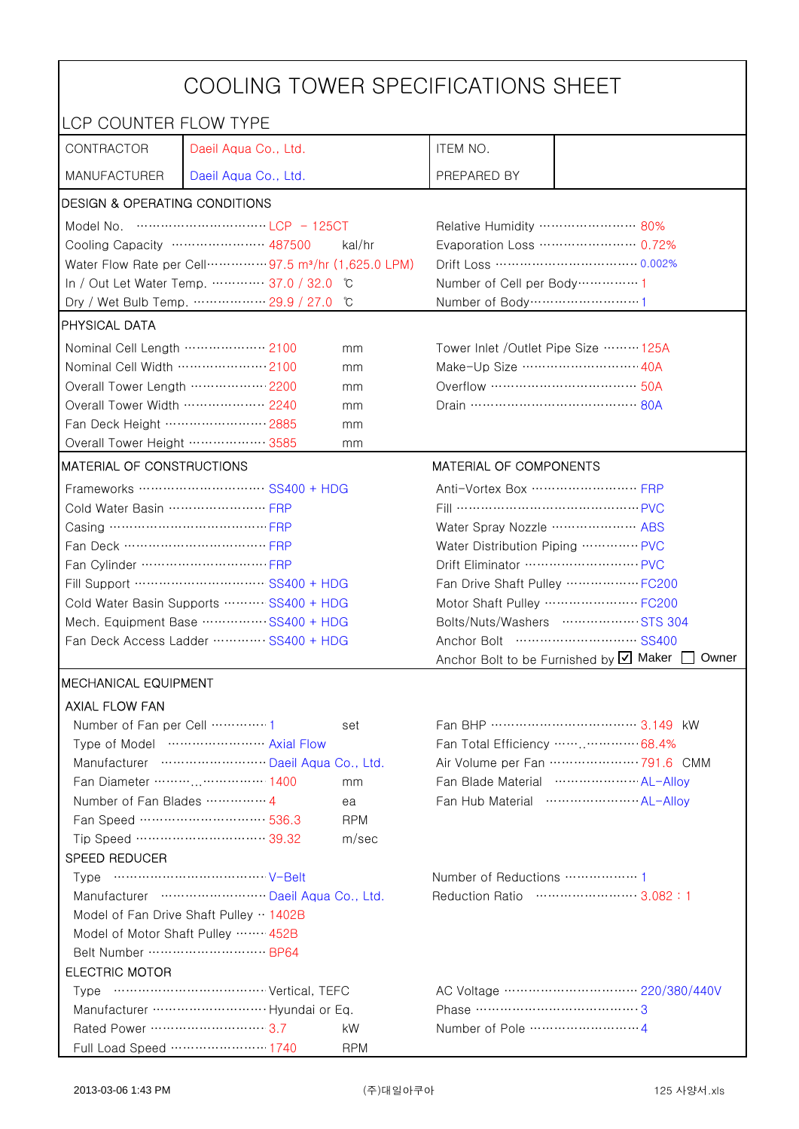| COOLING TOWER SPECIFICATIONS SHEET       |                                                                                |                                                    |                                                 |                                                          |  |
|------------------------------------------|--------------------------------------------------------------------------------|----------------------------------------------------|-------------------------------------------------|----------------------------------------------------------|--|
| LCP COUNTER FLOW TYPE                    |                                                                                |                                                    |                                                 |                                                          |  |
| CONTRACTOR                               | Daeil Aqua Co., Ltd.                                                           |                                                    | ITEM NO.                                        |                                                          |  |
| <b>MANUFACTURER</b>                      | Daeil Aqua Co., Ltd.                                                           |                                                    | PREPARED BY                                     |                                                          |  |
| <b>DESIGN &amp; OPERATING CONDITIONS</b> |                                                                                |                                                    |                                                 |                                                          |  |
|                                          |                                                                                |                                                    | Relative Humidity …………………… 80%                  |                                                          |  |
|                                          | Cooling Capacity ………………… 487500                                                | kal/hr                                             |                                                 | Evaporation Loss ………………… 0.72%                           |  |
|                                          | Water Flow Rate per Cell ··············· 97.5 m <sup>3</sup> /hr (1,625.0 LPM) |                                                    |                                                 |                                                          |  |
|                                          | In / Out Let Water Temp.  37.0 / 32.0                                          | ĬС                                                 | Number of Cell per Body ··············· 1       |                                                          |  |
|                                          | Dry / Wet Bulb Temp.  29.9 / 27.0                                              | ŮС                                                 | Number of Body ·······························1 |                                                          |  |
| PHYSICAL DATA                            |                                                                                |                                                    |                                                 |                                                          |  |
| Nominal Cell Length  2100                |                                                                                | mm                                                 | Tower Inlet /Outlet Pipe Size  125A             |                                                          |  |
| Nominal Cell Width  2100                 |                                                                                | mm                                                 | Make-Up Size ……………………… 40A                      |                                                          |  |
| Overall Tower Length ……………… 2200         |                                                                                | mm                                                 |                                                 |                                                          |  |
| Overall Tower Width ……………… 2240          |                                                                                | mm                                                 |                                                 |                                                          |  |
| Fan Deck Height …………………… 2885            |                                                                                | mm                                                 |                                                 |                                                          |  |
| Overall Tower Height ……………… 3585         |                                                                                | mm                                                 |                                                 |                                                          |  |
| <b>MATERIAL OF CONSTRUCTIONS</b>         |                                                                                |                                                    | MATERIAL OF COMPONENTS                          |                                                          |  |
|                                          | Frameworks ………………………… SS400 + HDG                                              |                                                    | Anti-Vortex Box …………………… FRP                    |                                                          |  |
| Cold Water Basin  FRP                    |                                                                                |                                                    | Fill …………………………………… PVC                         |                                                          |  |
| Casing …………………………………… FRP                |                                                                                |                                                    | Water Spray Nozzle ………………… ABS                  |                                                          |  |
|                                          |                                                                                |                                                    | Water Distribution Piping  PVC                  |                                                          |  |
|                                          |                                                                                |                                                    | Drift Eliminator  PVC                           |                                                          |  |
| Fill Support ………………………… SS400 + HDG      |                                                                                |                                                    | Fan Drive Shaft Pulley  FC200                   |                                                          |  |
| Cold Water Basin Supports  SS400 + HDG   |                                                                                |                                                    | Motor Shaft Pulley  FC200                       |                                                          |  |
| Mech. Equipment Base SS400 + HDG         |                                                                                |                                                    | Bolts/Nuts/Washers  STS 304                     |                                                          |  |
| Fan Deck Access Ladder ………… SS400 + HDG  |                                                                                |                                                    |                                                 |                                                          |  |
|                                          |                                                                                |                                                    |                                                 | Anchor Bolt to be Furnished by <b>U</b> Maker [<br>Owner |  |
| MECHANICAL EQUIPMENT                     |                                                                                |                                                    |                                                 |                                                          |  |
| <b>AXIAL FLOW FAN</b>                    |                                                                                |                                                    |                                                 |                                                          |  |
|                                          |                                                                                | set                                                |                                                 | Fan BHP ……………………………… 3.149 kW                            |  |
| Type of Model  Axial Flow                |                                                                                | Fan Total Efficiency  68.4%                        |                                                 |                                                          |  |
|                                          | Manufacturer  Daeil Aqua Co., Ltd.                                             |                                                    |                                                 | Air Volume per Fan ························ 791.6 CMM    |  |
| Fan Diameter ……… 1400<br>mm              |                                                                                | Fan Blade Material ······················ AL-Allov |                                                 |                                                          |  |
| Number of Fan Blades  4                  |                                                                                | ea                                                 |                                                 |                                                          |  |
|                                          | Fan Speed ………………………… 536.3                                                     | <b>RPM</b>                                         |                                                 |                                                          |  |
|                                          | Tip Speed ………………………… 39.32                                                     | m/sec                                              |                                                 |                                                          |  |
| SPEED REDUCER                            |                                                                                |                                                    |                                                 |                                                          |  |
|                                          |                                                                                | Reduction Ratio …………………… 3.082:1                   |                                                 |                                                          |  |
| Manufacturer  Daeil Aqua Co., Ltd.       |                                                                                |                                                    |                                                 |                                                          |  |
| Model of Fan Drive Shaft Pulley · 1402B  |                                                                                |                                                    |                                                 |                                                          |  |
| Model of Motor Shaft Pulley  452B        |                                                                                |                                                    |                                                 |                                                          |  |
| Belt Number  BP64                        |                                                                                |                                                    |                                                 |                                                          |  |
| <b>ELECTRIC MOTOR</b>                    |                                                                                |                                                    |                                                 |                                                          |  |
|                                          |                                                                                |                                                    | Phase ……………………………………3                           |                                                          |  |
| Rated Power ………………………… 3.7               |                                                                                | kW                                                 |                                                 |                                                          |  |
|                                          | Full Load Speed ………………… 1740                                                   | <b>RPM</b>                                         |                                                 |                                                          |  |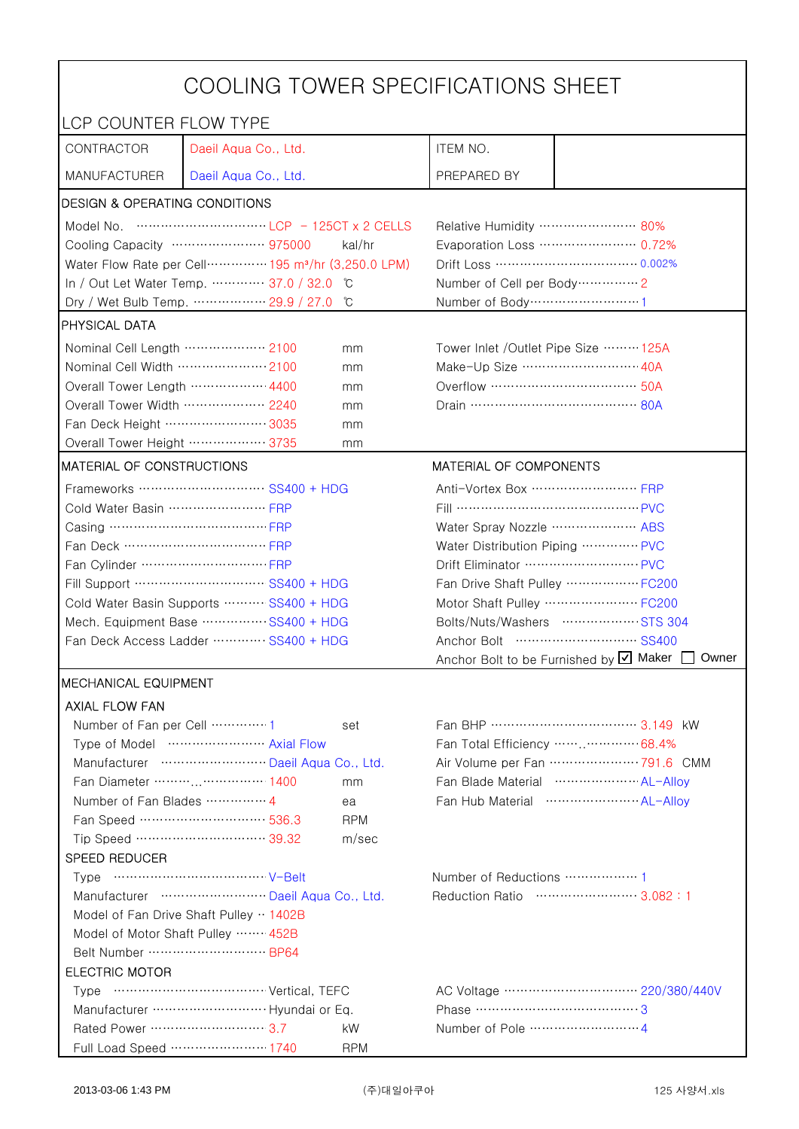| COOLING TOWER SPECIFICATIONS SHEET                                       |                                                                                                                                                                                                                                                                                                                                      |                                |                                                    |                                                       |  |
|--------------------------------------------------------------------------|--------------------------------------------------------------------------------------------------------------------------------------------------------------------------------------------------------------------------------------------------------------------------------------------------------------------------------------|--------------------------------|----------------------------------------------------|-------------------------------------------------------|--|
| LCP COUNTER FLOW TYPE                                                    |                                                                                                                                                                                                                                                                                                                                      |                                |                                                    |                                                       |  |
| CONTRACTOR                                                               | Daeil Aqua Co., Ltd.                                                                                                                                                                                                                                                                                                                 |                                | ITEM NO.                                           |                                                       |  |
| <b>MANUFACTURER</b>                                                      | Daeil Aqua Co., Ltd.                                                                                                                                                                                                                                                                                                                 |                                | PREPARED BY                                        |                                                       |  |
| <b>DESIGN &amp; OPERATING CONDITIONS</b>                                 |                                                                                                                                                                                                                                                                                                                                      |                                |                                                    |                                                       |  |
|                                                                          | Model No. $\cdots$ $\cdots$ $\cdots$ $\cdots$ $\cdots$ $\cdots$ $\cdots$ $\cdots$ $\cdots$ $\cdots$ $\cdots$ $\cdots$ $\cdots$ $\cdots$ $\cdots$ $\cdots$ $\cdots$ $\cdots$ $\cdots$ $\cdots$ $\cdots$ $\cdots$ $\cdots$ $\cdots$ $\cdots$ $\cdots$ $\cdots$ $\cdots$ $\cdots$ $\cdots$ $\cdots$ $\cdots$ $\cdots$ $\cdots$ $\cdots$ |                                | Relative Humidity …………………… 80%                     |                                                       |  |
|                                                                          | Cooling Capacity ………………… 975000                                                                                                                                                                                                                                                                                                      | kal/hr                         | Evaporation Loss …………………… 0.72%                    |                                                       |  |
|                                                                          | Water Flow Rate per Cell ··············· 195 m <sup>3</sup> /hr (3,250.0 LPM)                                                                                                                                                                                                                                                        |                                |                                                    |                                                       |  |
|                                                                          | In / Out Let Water Temp.  37.0 / 32.0                                                                                                                                                                                                                                                                                                | C °                            | Number of Cell per Body ··············· 2          |                                                       |  |
|                                                                          | Dry / Wet Bulb Temp.  29.9 / 27.0                                                                                                                                                                                                                                                                                                    | °C                             | Number of Body ··································1 |                                                       |  |
| <b>PHYSICAL DATA</b>                                                     |                                                                                                                                                                                                                                                                                                                                      |                                |                                                    |                                                       |  |
| Nominal Cell Length  2100                                                |                                                                                                                                                                                                                                                                                                                                      | mm                             | Tower Inlet /Outlet Pipe Size ……… 125A             |                                                       |  |
| Nominal Cell Width 2100                                                  |                                                                                                                                                                                                                                                                                                                                      | mm                             | Make-Up Size ……………………… 40A                         |                                                       |  |
| Overall Tower Length ……………… 4400                                         |                                                                                                                                                                                                                                                                                                                                      | mm                             | Overflow …………………………… 50A                           |                                                       |  |
| Overall Tower Width  2240                                                |                                                                                                                                                                                                                                                                                                                                      | mm                             |                                                    |                                                       |  |
| Fan Deck Height …………………… 3035                                            |                                                                                                                                                                                                                                                                                                                                      | mm                             |                                                    |                                                       |  |
| Overall Tower Height ……………… 3735                                         |                                                                                                                                                                                                                                                                                                                                      | mm                             |                                                    |                                                       |  |
| <b>MATERIAL OF CONSTRUCTIONS</b>                                         |                                                                                                                                                                                                                                                                                                                                      |                                | MATERIAL OF COMPONENTS                             |                                                       |  |
|                                                                          | Frameworks  SS400 + HDG                                                                                                                                                                                                                                                                                                              |                                | Anti-Vortex Box …………………… FRP                       |                                                       |  |
| Cold Water Basin  FRP                                                    |                                                                                                                                                                                                                                                                                                                                      |                                | Fill …………………………………… PVC                            |                                                       |  |
| Casing …………………………………… FRP                                                |                                                                                                                                                                                                                                                                                                                                      |                                | Water Spray Nozzle ………………… ABS                     |                                                       |  |
| Fan Deck …………………………… FRP                                                 |                                                                                                                                                                                                                                                                                                                                      | Water Distribution Piping  PVC |                                                    |                                                       |  |
|                                                                          |                                                                                                                                                                                                                                                                                                                                      |                                |                                                    |                                                       |  |
| Fill Support ………………………… SS400 + HDG                                      |                                                                                                                                                                                                                                                                                                                                      |                                | Fan Drive Shaft Pulley  FC200                      |                                                       |  |
| Cold Water Basin Supports  SS400 + HDG                                   |                                                                                                                                                                                                                                                                                                                                      |                                |                                                    | Motor Shaft Pulley  FC200                             |  |
| Mech. Equipment Base  SS400 + HDG                                        |                                                                                                                                                                                                                                                                                                                                      | Bolts/Nuts/Washers  STS 304    |                                                    |                                                       |  |
| Fan Deck Access Ladder ………… SS400 + HDG                                  |                                                                                                                                                                                                                                                                                                                                      | Owner                          |                                                    |                                                       |  |
| Anchor Bolt to be Furnished by Ø Maker [<br><b>IMECHANICAL EQUIPMENT</b> |                                                                                                                                                                                                                                                                                                                                      |                                |                                                    |                                                       |  |
|                                                                          |                                                                                                                                                                                                                                                                                                                                      |                                |                                                    |                                                       |  |
|                                                                          | <b>AXIAL FLOW FAN</b><br>Number of Fan per Cell  1<br>Fan BHP ……………………………… 3.149 kW                                                                                                                                                                                                                                                  |                                |                                                    |                                                       |  |
|                                                                          | Type of Model  Axial Flow                                                                                                                                                                                                                                                                                                            | set                            |                                                    | Fan Total Efficiency  68.4%                           |  |
|                                                                          | Manufacturer  Daeil Aqua Co., Ltd.                                                                                                                                                                                                                                                                                                   |                                |                                                    | Air Volume per Fan ························ 791.6 CMM |  |
|                                                                          | Fan Diameter ……… 1400                                                                                                                                                                                                                                                                                                                | mm                             |                                                    | Fan Blade Material  AL-Alloy                          |  |
| Number of Fan Blades  4                                                  |                                                                                                                                                                                                                                                                                                                                      | ea                             |                                                    | Fan Hub Material ·························· AL-Allov  |  |
|                                                                          | Fan Speed ………………………… 536.3                                                                                                                                                                                                                                                                                                           | <b>RPM</b>                     |                                                    |                                                       |  |
|                                                                          | Tip Speed ………………………… 39.32                                                                                                                                                                                                                                                                                                           | m/sec                          |                                                    |                                                       |  |
| <b>SPEED REDUCER</b>                                                     |                                                                                                                                                                                                                                                                                                                                      |                                |                                                    |                                                       |  |
|                                                                          |                                                                                                                                                                                                                                                                                                                                      |                                | Number of Reductions  1                            |                                                       |  |
| Manufacturer  Daeil Aqua Co., Ltd.                                       |                                                                                                                                                                                                                                                                                                                                      |                                | Reduction Ratio …………………… 3.082:1                   |                                                       |  |
| Model of Fan Drive Shaft Pulley  1402B                                   |                                                                                                                                                                                                                                                                                                                                      |                                |                                                    |                                                       |  |
| Model of Motor Shaft Pulley  452B                                        |                                                                                                                                                                                                                                                                                                                                      |                                |                                                    |                                                       |  |
| Belt Number  BP64                                                        |                                                                                                                                                                                                                                                                                                                                      |                                |                                                    |                                                       |  |
| <b>ELECTRIC MOTOR</b>                                                    |                                                                                                                                                                                                                                                                                                                                      |                                |                                                    |                                                       |  |
|                                                                          |                                                                                                                                                                                                                                                                                                                                      |                                |                                                    |                                                       |  |
|                                                                          |                                                                                                                                                                                                                                                                                                                                      |                                |                                                    |                                                       |  |
| Rated Power ………………………… 3.7                                               |                                                                                                                                                                                                                                                                                                                                      | kW                             |                                                    |                                                       |  |
|                                                                          | Full Load Speed ………………… 1740                                                                                                                                                                                                                                                                                                         | <b>RPM</b>                     |                                                    |                                                       |  |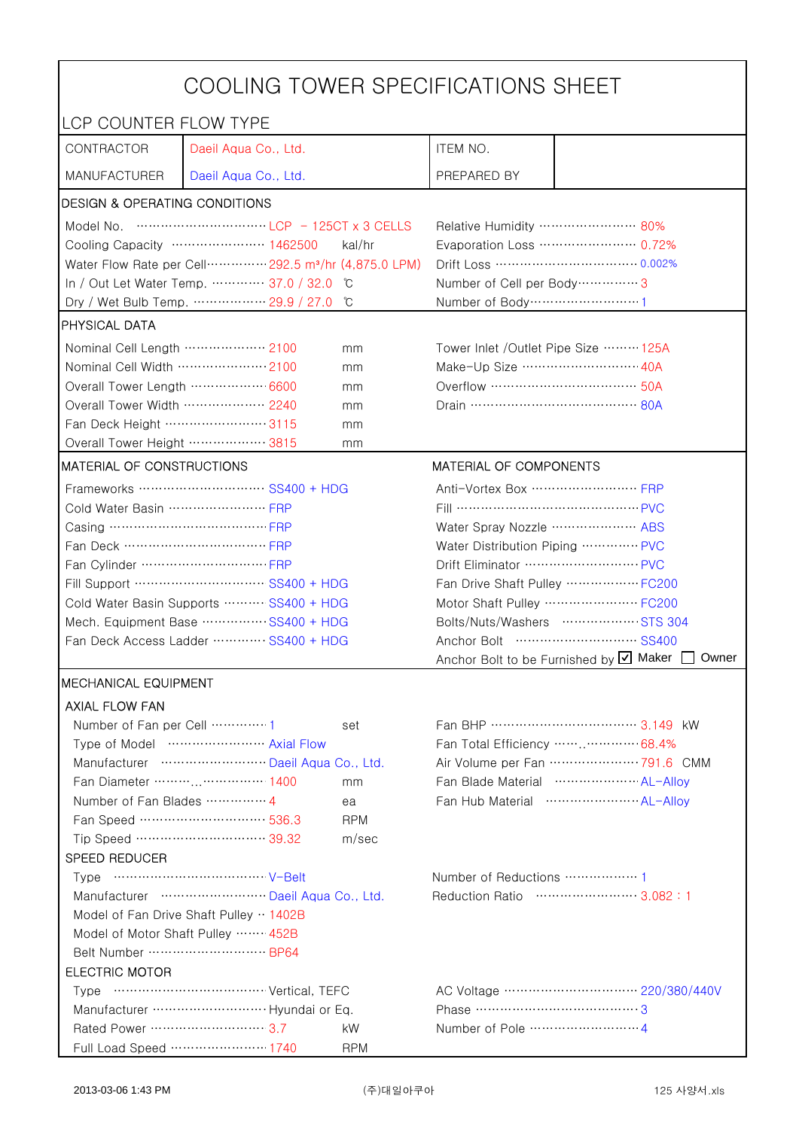| COOLING TOWER SPECIFICATIONS SHEET       |                                                                                                                                                                                                                                                                                                                                      |                                |                                                    |                                                       |  |
|------------------------------------------|--------------------------------------------------------------------------------------------------------------------------------------------------------------------------------------------------------------------------------------------------------------------------------------------------------------------------------------|--------------------------------|----------------------------------------------------|-------------------------------------------------------|--|
| LCP COUNTER FLOW TYPE                    |                                                                                                                                                                                                                                                                                                                                      |                                |                                                    |                                                       |  |
| CONTRACTOR                               | Daeil Aqua Co., Ltd.                                                                                                                                                                                                                                                                                                                 |                                | ITEM NO.                                           |                                                       |  |
| <b>MANUFACTURER</b>                      | Daeil Aqua Co., Ltd.                                                                                                                                                                                                                                                                                                                 |                                | PREPARED BY                                        |                                                       |  |
| <b>DESIGN &amp; OPERATING CONDITIONS</b> |                                                                                                                                                                                                                                                                                                                                      |                                |                                                    |                                                       |  |
|                                          | Model No. $\cdots$ $\cdots$ $\cdots$ $\cdots$ $\cdots$ $\cdots$ $\cdots$ $\cdots$ $\cdots$ $\cdots$ $\cdots$ $\cdots$ $\cdots$ $\cdots$ $\cdots$ $\cdots$ $\cdots$ $\cdots$ $\cdots$ $\cdots$ $\cdots$ $\cdots$ $\cdots$ $\cdots$ $\cdots$ $\cdots$ $\cdots$ $\cdots$ $\cdots$ $\cdots$ $\cdots$ $\cdots$ $\cdots$ $\cdots$ $\cdots$ |                                | Relative Humidity …………………… 80%                     |                                                       |  |
|                                          | Cooling Capacity ………………… 1462500                                                                                                                                                                                                                                                                                                     | kal/hr                         | Evaporation Loss …………………… 0.72%                    |                                                       |  |
|                                          | Water Flow Rate per Cell ·············· 292.5 m <sup>3</sup> /hr (4,875.0 LPM)                                                                                                                                                                                                                                                       |                                |                                                    |                                                       |  |
|                                          | In / Out Let Water Temp.  37.0 / 32.0                                                                                                                                                                                                                                                                                                | C °                            | Number of Cell per Body ················ 3         |                                                       |  |
|                                          | Dry / Wet Bulb Temp.  29.9 / 27.0                                                                                                                                                                                                                                                                                                    | °C                             | Number of Body ··································1 |                                                       |  |
| <b>PHYSICAL DATA</b>                     |                                                                                                                                                                                                                                                                                                                                      |                                |                                                    |                                                       |  |
| Nominal Cell Length  2100                |                                                                                                                                                                                                                                                                                                                                      | mm                             | Tower Inlet /Outlet Pipe Size ……… 125A             |                                                       |  |
| Nominal Cell Width 2100                  |                                                                                                                                                                                                                                                                                                                                      | mm                             | Make-Up Size ······························ 40A    |                                                       |  |
| Overall Tower Length ……………… 6600         |                                                                                                                                                                                                                                                                                                                                      | mm                             | Overflow …………………………… 50A                           |                                                       |  |
| Overall Tower Width  2240                |                                                                                                                                                                                                                                                                                                                                      | mm                             |                                                    |                                                       |  |
| Fan Deck Height …………………… 3115            |                                                                                                                                                                                                                                                                                                                                      | mm                             |                                                    |                                                       |  |
| Overall Tower Height ……………… 3815         |                                                                                                                                                                                                                                                                                                                                      | mm                             |                                                    |                                                       |  |
| MATERIAL OF CONSTRUCTIONS                |                                                                                                                                                                                                                                                                                                                                      |                                | MATERIAL OF COMPONENTS                             |                                                       |  |
|                                          | Frameworks  SS400 + HDG                                                                                                                                                                                                                                                                                                              |                                | Anti-Vortex Box …………………… FRP                       |                                                       |  |
| Cold Water Basin  FRP                    |                                                                                                                                                                                                                                                                                                                                      |                                | Fill …………………………………… PVC                            |                                                       |  |
| Casing …………………………………… FRP                |                                                                                                                                                                                                                                                                                                                                      |                                | Water Spray Nozzle ………………… ABS                     |                                                       |  |
| Fan Deck …………………………… FRP                 |                                                                                                                                                                                                                                                                                                                                      | Water Distribution Piping  PVC |                                                    |                                                       |  |
|                                          |                                                                                                                                                                                                                                                                                                                                      |                                |                                                    |                                                       |  |
|                                          | Fill Support ………………………… SS400 + HDG                                                                                                                                                                                                                                                                                                  |                                | Fan Drive Shaft Pulley  FC200                      |                                                       |  |
| Cold Water Basin Supports  SS400 + HDG   |                                                                                                                                                                                                                                                                                                                                      |                                | Motor Shaft Pulley  FC200                          |                                                       |  |
| Mech. Equipment Base  SS400 + HDG        |                                                                                                                                                                                                                                                                                                                                      |                                | Bolts/Nuts/Washers  STS 304                        |                                                       |  |
| Fan Deck Access Ladder ………… SS400 + HDG  |                                                                                                                                                                                                                                                                                                                                      | Owner                          |                                                    |                                                       |  |
| Anchor Bolt to be Furnished by Ø Maker [ |                                                                                                                                                                                                                                                                                                                                      |                                |                                                    |                                                       |  |
| <b>IMECHANICAL EQUIPMENT</b>             |                                                                                                                                                                                                                                                                                                                                      |                                |                                                    |                                                       |  |
| <b>AXIAL FLOW FAN</b>                    |                                                                                                                                                                                                                                                                                                                                      |                                |                                                    | Fan BHP ……………………………… 3.149 kW                         |  |
| Number of Fan per Cell  1                | Type of Model  Axial Flow                                                                                                                                                                                                                                                                                                            | set                            |                                                    | Fan Total Efficiency  68.4%                           |  |
|                                          | Manufacturer  Daeil Aqua Co., Ltd.                                                                                                                                                                                                                                                                                                   |                                |                                                    | Air Volume per Fan ························ 791.6 CMM |  |
|                                          | Fan Diameter ……… 1400                                                                                                                                                                                                                                                                                                                | mm                             |                                                    | Fan Blade Material  AL-Alloy                          |  |
| Number of Fan Blades  4                  |                                                                                                                                                                                                                                                                                                                                      | ea                             |                                                    | Fan Hub Material ·························· AL-Allov  |  |
|                                          | Fan Speed ………………………… 536.3                                                                                                                                                                                                                                                                                                           | <b>RPM</b>                     |                                                    |                                                       |  |
|                                          | Tip Speed ………………………… 39.32                                                                                                                                                                                                                                                                                                           | m/sec                          |                                                    |                                                       |  |
| <b>SPEED REDUCER</b>                     |                                                                                                                                                                                                                                                                                                                                      |                                |                                                    |                                                       |  |
|                                          |                                                                                                                                                                                                                                                                                                                                      |                                | Number of Reductions  1                            |                                                       |  |
| Manufacturer  Daeil Aqua Co., Ltd.       |                                                                                                                                                                                                                                                                                                                                      |                                | Reduction Ratio …………………… 3.082:1                   |                                                       |  |
| Model of Fan Drive Shaft Pulley  1402B   |                                                                                                                                                                                                                                                                                                                                      |                                |                                                    |                                                       |  |
| Model of Motor Shaft Pulley  452B        |                                                                                                                                                                                                                                                                                                                                      |                                |                                                    |                                                       |  |
| Belt Number  BP64                        |                                                                                                                                                                                                                                                                                                                                      |                                |                                                    |                                                       |  |
| <b>ELECTRIC MOTOR</b>                    |                                                                                                                                                                                                                                                                                                                                      |                                |                                                    |                                                       |  |
|                                          |                                                                                                                                                                                                                                                                                                                                      |                                |                                                    |                                                       |  |
|                                          |                                                                                                                                                                                                                                                                                                                                      |                                |                                                    |                                                       |  |
| Rated Power ………………………… 3.7               |                                                                                                                                                                                                                                                                                                                                      | kW                             |                                                    |                                                       |  |
|                                          | Full Load Speed ………………… 1740                                                                                                                                                                                                                                                                                                         | <b>RPM</b>                     |                                                    |                                                       |  |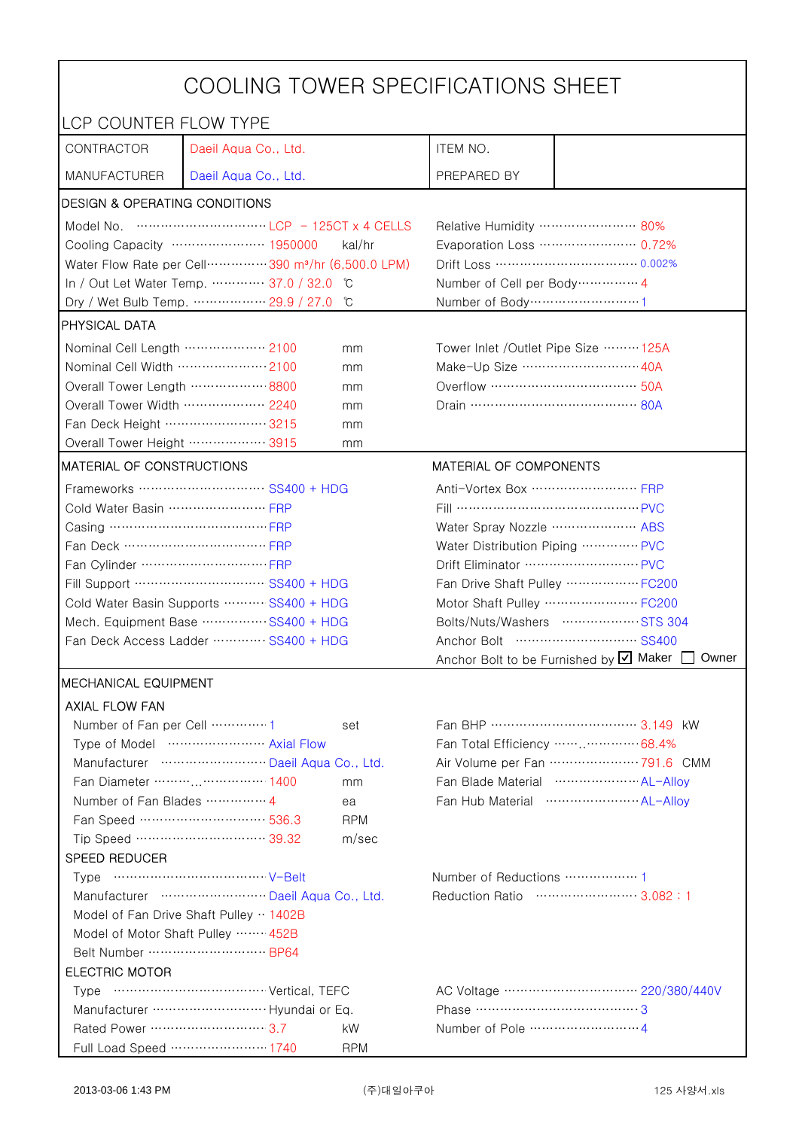| COOLING TOWER SPECIFICATIONS SHEET       |                                                                               |                         |                                                             |  |  |
|------------------------------------------|-------------------------------------------------------------------------------|-------------------------|-------------------------------------------------------------|--|--|
| LCP COUNTER FLOW TYPE                    |                                                                               |                         |                                                             |  |  |
| CONTRACTOR                               | Daeil Aqua Co., Ltd.                                                          | ITEM NO.                |                                                             |  |  |
| <b>MANUFACTURER</b>                      | Daeil Aqua Co., Ltd.                                                          | PREPARED BY             |                                                             |  |  |
| <b>DESIGN &amp; OPERATING CONDITIONS</b> |                                                                               |                         |                                                             |  |  |
|                                          |                                                                               |                         | Relative Humidity …………………… 80%                              |  |  |
|                                          | Cooling Capacity ………………… 1950000<br>kal/hr                                    |                         | Evaporation Loss ………………… 0.72%                              |  |  |
|                                          | Water Flow Rate per Cell ··············· 390 m <sup>3</sup> /hr (6,500.0 LPM) |                         |                                                             |  |  |
|                                          | In / Out Let Water Temp.  37.0 / 32.0 °C                                      |                         | Number of Cell per Body ··············· 4                   |  |  |
|                                          | Dry / Wet Bulb Temp.  29.9 / 27.0<br>°C                                       |                         | Number of Body ·······························1             |  |  |
| <b>PHYSICAL DATA</b>                     |                                                                               |                         |                                                             |  |  |
| Nominal Cell Length ……………… 2100          | mm                                                                            |                         | Tower Inlet /Outlet Pipe Size  125A                         |  |  |
| Nominal Cell Width 2100                  | mm                                                                            |                         | Make-Up Size ……………………… 40A                                  |  |  |
| Overall Tower Length ……………… 8800         | mm                                                                            |                         |                                                             |  |  |
| Overall Tower Width  2240                | mm                                                                            |                         |                                                             |  |  |
| Fan Deck Height …………………… 3215            | mm                                                                            |                         |                                                             |  |  |
| Overall Tower Height ……………… 3915         | mm                                                                            |                         |                                                             |  |  |
| MATERIAL OF CONSTRUCTIONS                |                                                                               | MATERIAL OF COMPONENTS  |                                                             |  |  |
|                                          | Frameworks ………………………… SS400 + HDG                                             |                         | Anti-Vortex Box …………………… FRP                                |  |  |
| Cold Water Basin  FRP                    |                                                                               |                         |                                                             |  |  |
| Casing …………………………………… FRP                |                                                                               |                         | Water Spray Nozzle  ABS                                     |  |  |
| Fan Deck …………………………… FRP                 |                                                                               |                         | Water Distribution Piping  PVC                              |  |  |
|                                          |                                                                               |                         | Drift Eliminator  PVC                                       |  |  |
|                                          | Fill Support ………………………… SS400 + HDG                                           |                         | Fan Drive Shaft Pulley  FC200                               |  |  |
|                                          | Cold Water Basin Supports  SS400 + HDG                                        |                         | Motor Shaft Pulley  FC200                                   |  |  |
| Mech. Equipment Base SS400 + HDG         |                                                                               |                         | Bolts/Nuts/Washers  STS 304                                 |  |  |
| Fan Deck Access Ladder ………… SS400 + HDG  |                                                                               |                         | Anchor Bolt to be Furnished by $\boxtimes$ Maker [<br>Owner |  |  |
|                                          | <b>IMECHANICAL EQUIPMENT</b>                                                  |                         |                                                             |  |  |
| <b>AXIAL FLOW FAN</b>                    |                                                                               |                         |                                                             |  |  |
| Number of Fan per Cell 1                 | set                                                                           |                         |                                                             |  |  |
|                                          | Type of Model  Axial Flow                                                     |                         | Fan Total Efficiency  68.4%                                 |  |  |
|                                          | Manufacturer  Daeil Aqua Co., Ltd.                                            |                         | Air Volume per Fan ························ 791.6 CMM       |  |  |
| Fan Diameter …………………… 1400<br>mm         |                                                                               |                         | Fan Blade Material  AL-Alloy                                |  |  |
| Number of Fan Blades …………… 4             | ea                                                                            |                         |                                                             |  |  |
|                                          | Fan Speed ………………………… 536.3<br><b>RPM</b>                                      |                         |                                                             |  |  |
|                                          | Tip Speed ………………………… 39.32<br>m/sec                                           |                         |                                                             |  |  |
| SPEED REDUCER                            |                                                                               |                         |                                                             |  |  |
|                                          |                                                                               | Number of Reductions  1 |                                                             |  |  |
|                                          | Manufacturer  Daeil Aqua Co., Ltd.                                            |                         | Reduction Ratio …………………… 3.082:1                            |  |  |
| Model of Fan Drive Shaft Pulley  1402B   |                                                                               |                         |                                                             |  |  |
| Model of Motor Shaft Pulley  452B        |                                                                               |                         |                                                             |  |  |
|                                          |                                                                               |                         |                                                             |  |  |
| <b>ELECTRIC MOTOR</b>                    |                                                                               |                         |                                                             |  |  |
|                                          |                                                                               |                         |                                                             |  |  |
|                                          |                                                                               | Phase …………………………………3    |                                                             |  |  |
|                                          | kW                                                                            |                         |                                                             |  |  |
|                                          | Full Load Speed ………………… 1740<br><b>RPM</b>                                    |                         |                                                             |  |  |